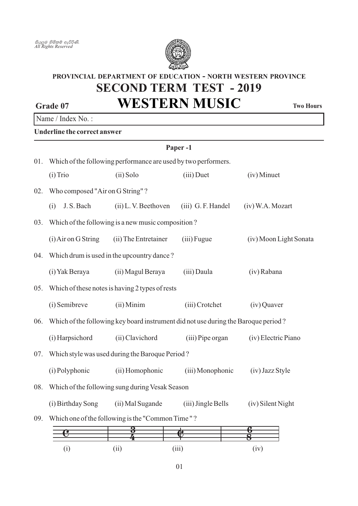

# **SECOND TERM TEST - 2019 PROVINCIAL DEPARTMENT OF EDUCATION - NORTH WESTERN PROVINCE**

**WESTERN MUSIC**

**Two Hours** 

## Name / Index No.:

**Grade 07**

**Underline the correct answer**

|     | Paper-1                                                                            |                                 |                    |                        |  |  |  |  |
|-----|------------------------------------------------------------------------------------|---------------------------------|--------------------|------------------------|--|--|--|--|
| 01. | Which of the following performance are used by two performers.                     |                                 |                    |                        |  |  |  |  |
|     | $(i)$ Trio                                                                         | (ii) Solo                       | $(iii)$ Duet       | (iv) Minuet            |  |  |  |  |
| 02. |                                                                                    | Who composed "Air on G String"? |                    |                        |  |  |  |  |
|     | J.S. Bach<br>(i)                                                                   | (ii) L.V. Beethoven             | (iii) G.F. Handel  | (iv) W.A. Mozart       |  |  |  |  |
| 03. | Which of the following is a new music composition?                                 |                                 |                    |                        |  |  |  |  |
|     | (i) Air on G String                                                                | (ii) The Entretainer            | (iii) Fugue        | (iv) Moon Light Sonata |  |  |  |  |
| 04. | Which drum is used in the upcountry dance?                                         |                                 |                    |                        |  |  |  |  |
|     | (i) Yak Beraya                                                                     | (ii) Magul Beraya               | (iii) Daula        | (iv) Rabana            |  |  |  |  |
| 05. | Which of these notes is having 2 types of rests                                    |                                 |                    |                        |  |  |  |  |
|     | (i) Semibreve                                                                      | (ii) Minim                      | (iii) Crotchet     | (iv) Quaver            |  |  |  |  |
| 06. | Which of the following key board instrument did not use during the Baroque period? |                                 |                    |                        |  |  |  |  |
|     | (i) Harpsichord                                                                    | (ii) Clavichord                 | (iii) Pipe organ   | (iv) Electric Piano    |  |  |  |  |
| 07. | Which style was used during the Baroque Period?                                    |                                 |                    |                        |  |  |  |  |
|     | (i) Polyphonic                                                                     | (ii) Homophonic                 | (iii) Monophonic   | (iv) Jazz Style        |  |  |  |  |
| 08. | Which of the following sung during Vesak Season                                    |                                 |                    |                        |  |  |  |  |
|     | (i) Birthday Song                                                                  | (ii) Mal Sugande                | (iii) Jingle Bells | (iv) Silent Night      |  |  |  |  |
| 09. | Which one of the following is the "Common Time"?                                   |                                 |                    |                        |  |  |  |  |
|     | e                                                                                  | 3                               | Ю                  |                        |  |  |  |  |
|     | (i)                                                                                | (ii)                            | (iii)              | (iv)                   |  |  |  |  |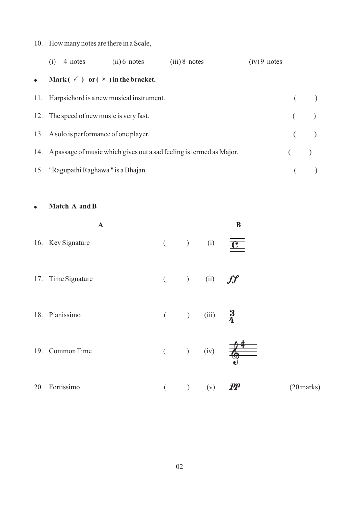## 10. How many notes are there in a Scale,

|           | (1) | 4 notes (ii) 6 notes                     |                                                       | $(iii)$ 8 notes                                                          | $(iv)$ 9 notes |         |
|-----------|-----|------------------------------------------|-------------------------------------------------------|--------------------------------------------------------------------------|----------------|---------|
| $\bullet$ |     |                                          | Mark $(\checkmark)$ or $(\checkmark)$ in the bracket. |                                                                          |                |         |
|           |     |                                          | 11. Harpsichord is a new musical instrument.          |                                                                          |                |         |
|           |     | 12. The speed of new music is very fast. |                                                       |                                                                          |                | $($ $)$ |
|           |     | 13. A solo is performance of one player. |                                                       |                                                                          |                | $($ $)$ |
|           |     |                                          |                                                       | 14. A passage of music which gives out a sad feeling is termed as Major. |                | $($ $)$ |
|           |     | 15. "Ragupathi Raghawa" is a Bhajan      |                                                       |                                                                          |                |         |

• Match A and B

|     | $\mathbf A$       |           |         |                         | B                                 |
|-----|-------------------|-----------|---------|-------------------------|-----------------------------------|
|     | 16. Key Signature | $($ ) (i) |         |                         | $\mathbf{F}$                      |
| 17. | Time Signature    |           |         | $($ ) (ii) $ff$         |                                   |
| 18. | Pianissimo        |           |         | ( ) (iii) $\frac{3}{4}$ |                                   |
| 19. | Common Time       |           |         | $($ ) (iv)              | $\frac{1}{\sqrt{2}}$              |
| 20. | Fortissimo        | $\left($  | $\big)$ | (v)                     | $\boldsymbol{pp}$<br>$(20$ marks) |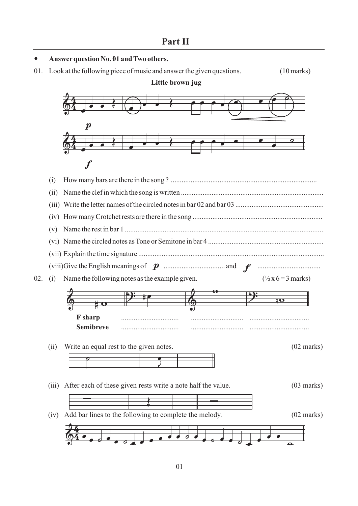#### **Answerquestion No. 01 and Two others.**

 $\bullet$ 

 $\overline{\phantom{a}}$ 

01. Look at the following piece of music and answer the given questions. (10 marks)



<del>d d <u>d</u> d <sup>a v v o v d d d d d d d</del><br>.</del></sup>

 $\overline{a}$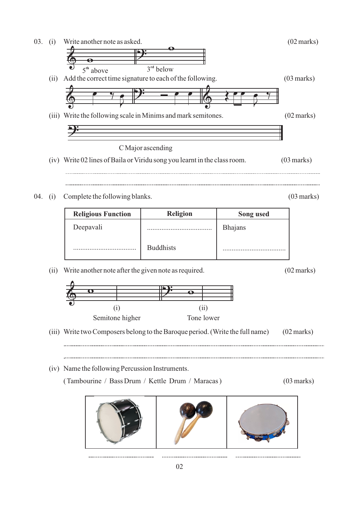

02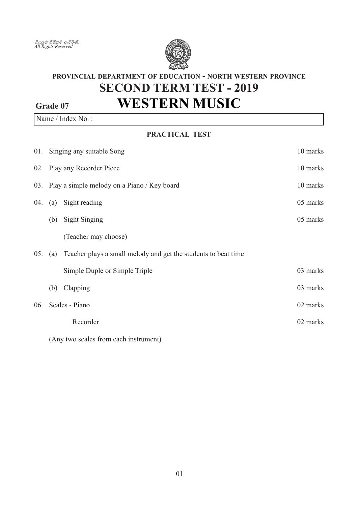

# PROVINCIAL DEPARTMENT OF EDUCATION - NORTH WESTERN PROVINCE **SECOND TERM TEST - 2019 WESTERN MUSIC** Grade 07

Name / Index No.:

### PRACTICAL TEST

|     | 01. Singing any suitable Song<br>10 marks |                                                                    |          |
|-----|-------------------------------------------|--------------------------------------------------------------------|----------|
|     | 02. Play any Recorder Piece               |                                                                    | 10 marks |
|     |                                           | 03. Play a simple melody on a Piano / Key board                    | 10 marks |
| 04. |                                           | (a) Sight reading                                                  | 05 marks |
|     | (b)                                       | <b>Sight Singing</b>                                               | 05 marks |
|     |                                           | (Teacher may choose)                                               |          |
| 05. |                                           | (a) Teacher plays a small melody and get the students to beat time |          |
|     |                                           | Simple Duple or Simple Triple                                      | 03 marks |
|     | (b)                                       | Clapping                                                           | 03 marks |
|     |                                           | 06. Scales - Piano                                                 | 02 marks |
|     |                                           | Recorder                                                           | 02 marks |
|     |                                           |                                                                    |          |

(Any two scales from each instrument)